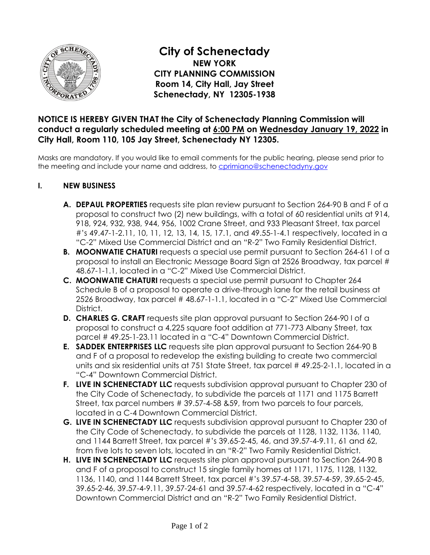

**City of Schenectady NEW YORK CITY PLANNING COMMISSION Room 14, City Hall, Jay Street Schenectady, NY 12305-1938** 

## **NOTICE IS HEREBY GIVEN THAT the City of Schenectady Planning Commission will conduct a regularly scheduled meeting at 6:00 PM on Wednesday January 19, 2022 in City Hall, Room 110, 105 Jay Street, Schenectady NY 12305.**

Masks are mandatory. If you would like to email comments for the public hearing, please send prior to the meeting and include your name and address, to [cprimiano@schenectadyny.gov](mailto:cprimiano@schenectadyny.gov)

## **I. NEW BUSINESS**

- **A. DEPAUL PROPERTIES** requests site plan review pursuant to Section 264-90 B and F of a proposal to construct two (2) new buildings, with a total of 60 residential units at 914, 918, 924, 932, 938, 944, 956, 1002 Crane Street, and 933 Pleasant Street, tax parcel #'s 49.47-1-2.11, 10, 11, 12, 13, 14, 15, 17.1, and 49.55-1-4.1 respectively, located in a "C-2" Mixed Use Commercial District and an "R-2" Two Family Residential District.
- **B.** MOONWATIE CHATURI requests a special use permit pursuant to Section 264-61 I of a proposal to install an Electronic Message Board Sign at 2526 Broadway, tax parcel # 48.67-1-1.1, located in a "C-2" Mixed Use Commercial District.
- **C. MOONWATIE CHATURI** requests a special use permit pursuant to Chapter 264 Schedule B of a proposal to operate a drive-through lane for the retail business at 2526 Broadway, tax parcel # 48.67-1-1.1, located in a "C-2" Mixed Use Commercial District.
- **D. CHARLES G. CRAFT** requests site plan approval pursuant to Section 264-90 I of a proposal to construct a 4,225 square foot addition at 771-773 Albany Street, tax parcel # 49.25-1-23.11 located in a "C-4" Downtown Commercial District.
- **E. SADDEK ENTERPRISES LLC** requests site plan approval pursuant to Section 264-90 B and F of a proposal to redevelop the existing building to create two commercial units and six residential units at 751 State Street, tax parcel # 49.25-2-1.1, located in a "C-4" Downtown Commercial District.
- **F. LIVE IN SCHENECTADY LLC** requests subdivision approval pursuant to Chapter 230 of the City Code of Schenectady, to subdivide the parcels at 1171 and 1175 Barrett Street, tax parcel numbers # 39.57-4-58 & 59, from two parcels to four parcels, located in a C-4 Downtown Commercial District.
- **G. LIVE IN SCHENECTADY LLC** requests subdivision approval pursuant to Chapter 230 of the City Code of Schenectady, to subdivide the parcels at 1128, 1132, 1136, 1140, and 1144 Barrett Street, tax parcel #'s 39.65-2-45, 46, and 39.57-4-9.11, 61 and 62, from five lots to seven lots, located in an "R-2" Two Family Residential District.
- **H. LIVE IN SCHENECTADY LLC** requests site plan approval pursuant to Section 264-90 B and F of a proposal to construct 15 single family homes at 1171, 1175, 1128, 1132, 1136, 1140, and 1144 Barrett Street, tax parcel #'s 39.57-4-58, 39.57-4-59, 39.65-2-45, 39.65-2-46, 39.57-4-9.11, 39.57-24-61 and 39.57-4-62 respectively, located in a "C-4" Downtown Commercial District and an "R-2" Two Family Residential District.